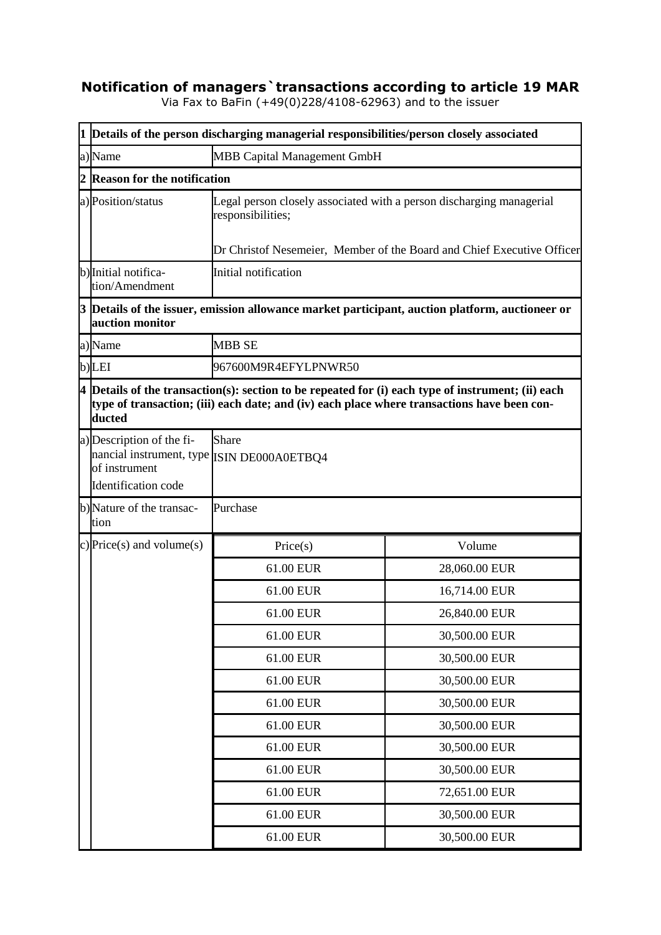## **Notification of managers`transactions according to article 19 MAR**

Via Fax to BaFin (+49(0)228/4108-62963) and to the issuer

|   | 1 Details of the person discharging managerial responsibilities/person closely associated                                                                                                                     |                                                                                                                                                                     |               |  |  |  |
|---|---------------------------------------------------------------------------------------------------------------------------------------------------------------------------------------------------------------|---------------------------------------------------------------------------------------------------------------------------------------------------------------------|---------------|--|--|--|
|   | a)Name                                                                                                                                                                                                        | <b>MBB Capital Management GmbH</b>                                                                                                                                  |               |  |  |  |
| 2 | <b>Reason for the notification</b>                                                                                                                                                                            |                                                                                                                                                                     |               |  |  |  |
|   | a) Position/status                                                                                                                                                                                            | Legal person closely associated with a person discharging managerial<br>responsibilities;<br>Dr Christof Nesemeier, Member of the Board and Chief Executive Officer |               |  |  |  |
|   | b) Initial notifica-                                                                                                                                                                                          | Initial notification                                                                                                                                                |               |  |  |  |
|   | tion/Amendment                                                                                                                                                                                                |                                                                                                                                                                     |               |  |  |  |
|   | $3$ Details of the issuer, emission allowance market participant, auction platform, auctioneer or<br>auction monitor                                                                                          |                                                                                                                                                                     |               |  |  |  |
|   | a)Name                                                                                                                                                                                                        | <b>MBB SE</b>                                                                                                                                                       |               |  |  |  |
|   | b)LEI                                                                                                                                                                                                         | 967600M9R4EFYLPNWR50                                                                                                                                                |               |  |  |  |
|   | $4$ Details of the transaction(s): section to be repeated for (i) each type of instrument; (ii) each<br>type of transaction; (iii) each date; and (iv) each place where transactions have been con-<br>ducted |                                                                                                                                                                     |               |  |  |  |
|   | a) Description of the fi-<br>nancial instrument, type ISIN DE000A0ETBQ4<br>of instrument<br>Identification code                                                                                               | <b>Share</b>                                                                                                                                                        |               |  |  |  |
|   | b)Nature of the transac-<br>tion                                                                                                                                                                              | Purchase                                                                                                                                                            |               |  |  |  |
|   | c) Price(s) and volume(s)                                                                                                                                                                                     | Price(s)                                                                                                                                                            | Volume        |  |  |  |
|   |                                                                                                                                                                                                               | 61.00 EUR                                                                                                                                                           | 28,060.00 EUR |  |  |  |
|   |                                                                                                                                                                                                               | 61.00 EUR                                                                                                                                                           | 16,714.00 EUR |  |  |  |
|   |                                                                                                                                                                                                               | 61.00 EUR                                                                                                                                                           | 26,840.00 EUR |  |  |  |
|   |                                                                                                                                                                                                               | 61.00 EUR                                                                                                                                                           | 30,500.00 EUR |  |  |  |
|   |                                                                                                                                                                                                               | 61.00 EUR                                                                                                                                                           | 30,500.00 EUR |  |  |  |
|   |                                                                                                                                                                                                               | 61.00 EUR                                                                                                                                                           | 30,500.00 EUR |  |  |  |
|   |                                                                                                                                                                                                               | 61.00 EUR                                                                                                                                                           | 30,500.00 EUR |  |  |  |
|   |                                                                                                                                                                                                               | 61.00 EUR                                                                                                                                                           | 30,500.00 EUR |  |  |  |
|   |                                                                                                                                                                                                               | 61.00 EUR                                                                                                                                                           | 30,500.00 EUR |  |  |  |
|   |                                                                                                                                                                                                               | 61.00 EUR                                                                                                                                                           | 30,500.00 EUR |  |  |  |
|   |                                                                                                                                                                                                               | 61.00 EUR                                                                                                                                                           | 72,651.00 EUR |  |  |  |
|   |                                                                                                                                                                                                               | 61.00 EUR                                                                                                                                                           | 30,500.00 EUR |  |  |  |
|   |                                                                                                                                                                                                               | 61.00 EUR                                                                                                                                                           | 30,500.00 EUR |  |  |  |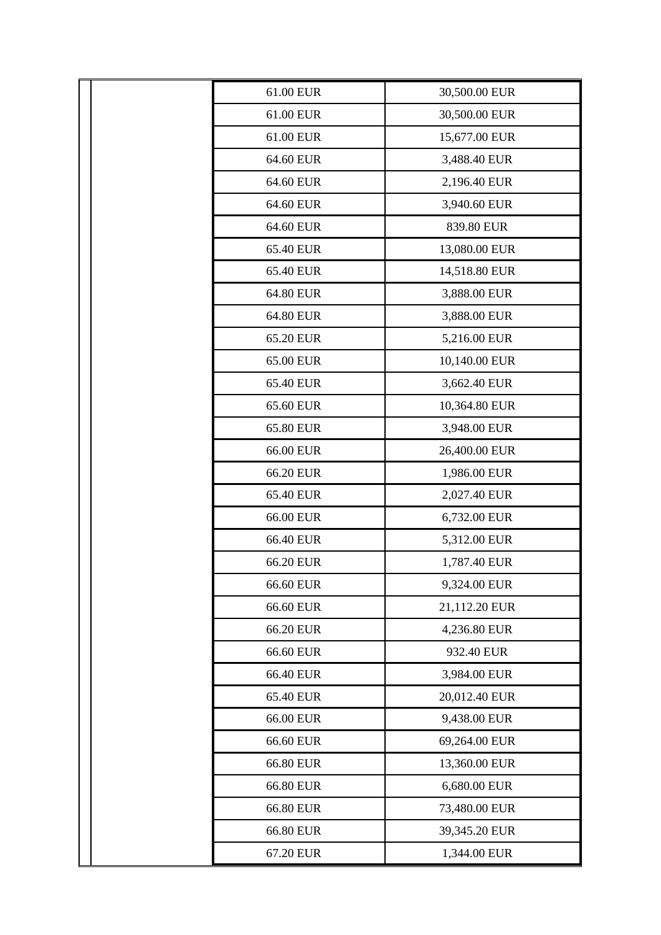| 61.00 EUR | 30,500.00 EUR |
|-----------|---------------|
| 61.00 EUR | 30,500.00 EUR |
| 61.00 EUR | 15,677.00 EUR |
| 64.60 EUR | 3,488.40 EUR  |
| 64.60 EUR | 2,196.40 EUR  |
| 64.60 EUR | 3,940.60 EUR  |
| 64.60 EUR | 839.80 EUR    |
| 65.40 EUR | 13,080.00 EUR |
| 65.40 EUR | 14,518.80 EUR |
| 64.80 EUR | 3,888.00 EUR  |
| 64.80 EUR | 3,888.00 EUR  |
| 65.20 EUR | 5,216.00 EUR  |
| 65.00 EUR | 10,140.00 EUR |
| 65.40 EUR | 3,662.40 EUR  |
| 65.60 EUR | 10,364.80 EUR |
| 65.80 EUR | 3,948.00 EUR  |
| 66.00 EUR | 26,400.00 EUR |
| 66.20 EUR | 1,986.00 EUR  |
| 65.40 EUR | 2,027.40 EUR  |
| 66.00 EUR | 6,732.00 EUR  |
| 66.40 EUR | 5,312.00 EUR  |
| 66.20 EUR | 1,787.40 EUR  |
| 66.60 EUR | 9,324.00 EUR  |
| 66.60 EUR | 21,112.20 EUR |
| 66.20 EUR | 4,236.80 EUR  |
| 66.60 EUR | 932.40 EUR    |
| 66.40 EUR | 3,984.00 EUR  |
| 65.40 EUR | 20,012.40 EUR |
| 66.00 EUR | 9,438.00 EUR  |
| 66.60 EUR | 69,264.00 EUR |
| 66.80 EUR | 13,360.00 EUR |
| 66.80 EUR | 6,680.00 EUR  |
| 66.80 EUR | 73,480.00 EUR |
| 66.80 EUR | 39,345.20 EUR |
| 67.20 EUR | 1,344.00 EUR  |